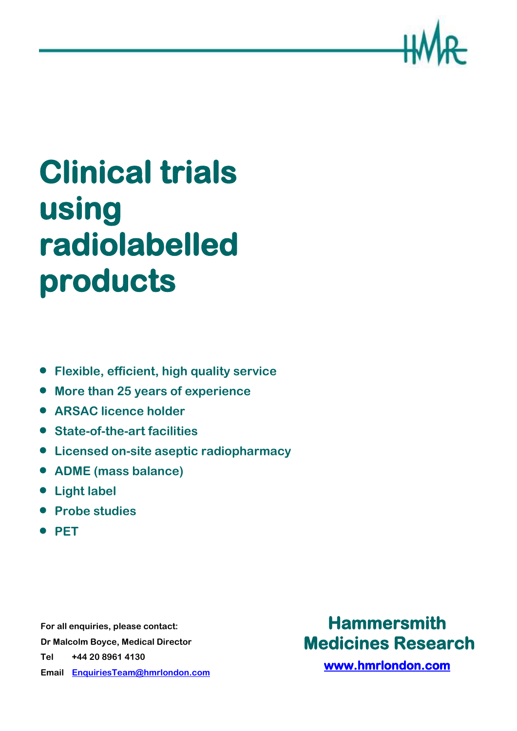

# **Clinical trials using radiolabelled products**

- **Flexible, efficient, high quality service**
- **More than 25 years of experience**
- **ARSAC licence holder**
- **State-of-the-art facilities**
- **Licensed on-site aseptic radiopharmacy**
- **ADME (mass balance)**
- **Light label**
- **Probe studies**
- **PET**

**For all enquiries, please contact: Dr Malcolm Boyce, Medical Director Tel +44 20 8961 4130 Email [EnquiriesTeam@hmrlondon.com](mailto:EnquiriesTeam@hmrlondon.com)**

# **Hammersmith Medicines Research**

**[www.hmrlondon.com](http://www.hmrlondon.com/)**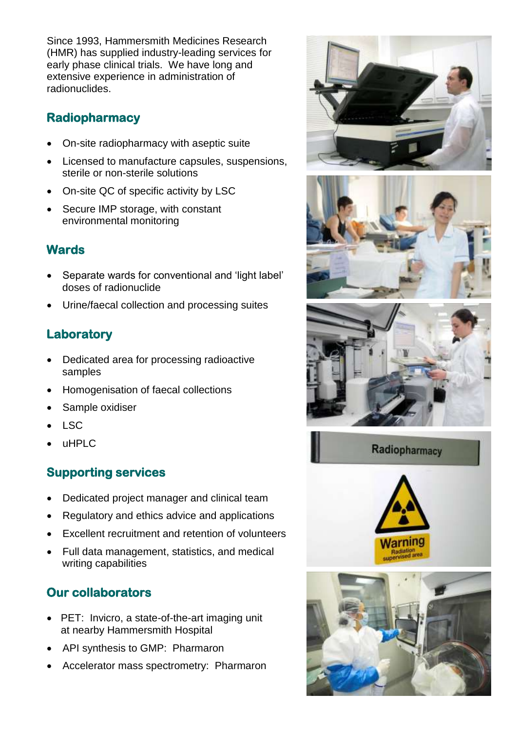Since 1993, Hammersmith Medicines Research (HMR) has supplied industry-leading services for early phase clinical trials. We have long and extensive experience in administration of radionuclides.

# **Radiopharmacy**

- On-site radiopharmacy with aseptic suite
- Licensed to manufacture capsules, suspensions, sterile or non-sterile solutions
- On-site QC of specific activity by LSC
- Secure IMP storage, with constant environmental monitoring

## **Wards**

- Separate wards for conventional and 'light label' doses of radionuclide
- Urine/faecal collection and processing suites

# **Laboratory**

- Dedicated area for processing radioactive samples
- Homogenisation of faecal collections
- Sample oxidiser
- LSC
- uHPLC

# **Supporting services**

- Dedicated project manager and clinical team
- Regulatory and ethics advice and applications
- Excellent recruitment and retention of volunteers
- Full data management, statistics, and medical writing capabilities

# **Our collaborators**

- PET: Invicro, a state-of-the-art imaging unit at nearby Hammersmith Hospital
- API synthesis to GMP: Pharmaron
- Accelerator mass spectrometry: Pharmaron